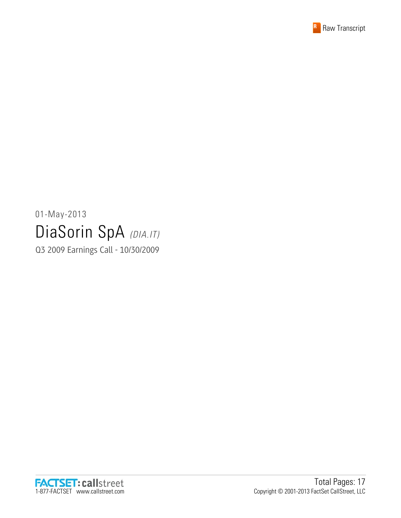

# 01-May-2013 DiaSorin SpA (DIA.IT)

Q3 2009 Earnings Call - 10/30/2009

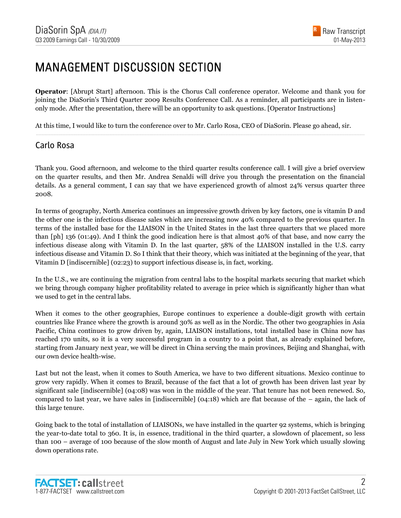#### MANAGEMENT DISCUSSION SECTION

**Operator**: [Abrupt Start] afternoon. This is the Chorus Call conference operator. Welcome and thank you for joining the DiaSorin's Third Quarter 2009 Results Conference Call. As a reminder, all participants are in listenonly mode. After the presentation, there will be an opportunity to ask questions. [Operator Instructions]

......................................................................................................................................................................................................................................................

At this time, I would like to turn the conference over to Mr. Carlo Rosa, CEO of DiaSorin. Please go ahead, sir.

#### Carlo Rosa

Thank you. Good afternoon, and welcome to the third quarter results conference call. I will give a brief overview on the quarter results, and then Mr. Andrea Senaldi will drive you through the presentation on the financial details. As a general comment, I can say that we have experienced growth of almost 24% versus quarter three 2008.

In terms of geography, North America continues an impressive growth driven by key factors, one is vitamin D and the other one is the infectious disease sales which are increasing now 40% compared to the previous quarter. In terms of the installed base for the LIAISON in the United States in the last three quarters that we placed more than [ph] 136 (01:49). And I think the good indication here is that almost 40% of that base, and now carry the infectious disease along with Vitamin D. In the last quarter, 58% of the LIAISON installed in the U.S. carry infectious disease and Vitamin D. So I think that their theory, which was initiated at the beginning of the year, that Vitamin D [indiscernible] (02:23) to support infectious disease is, in fact, working.

In the U.S., we are continuing the migration from central labs to the hospital markets securing that market which we bring through company higher profitability related to average in price which is significantly higher than what we used to get in the central labs.

When it comes to the other geographies, Europe continues to experience a double-digit growth with certain countries like France where the growth is around 30% as well as in the Nordic. The other two geographies in Asia Pacific, China continues to grow driven by, again, LIAISON installations, total installed base in China now has reached 170 units, so it is a very successful program in a country to a point that, as already explained before, starting from January next year, we will be direct in China serving the main provinces, Beijing and Shanghai, with our own device health-wise.

Last but not the least, when it comes to South America, we have to two different situations. Mexico continue to grow very rapidly. When it comes to Brazil, because of the fact that a lot of growth has been driven last year by significant sale [indiscernible] (04:08) was won in the middle of the year. That tenure has not been renewed. So, compared to last year, we have sales in [indiscernible]  $(04:18)$  which are flat because of the – again, the lack of this large tenure.

Going back to the total of installation of LIAISONs, we have installed in the quarter 92 systems, which is bringing the year-to-date total to 360. It is, in essence, traditional in the third quarter, a slowdown of placement, so less than 100 – average of 100 because of the slow month of August and late July in New York which usually slowing down operations rate.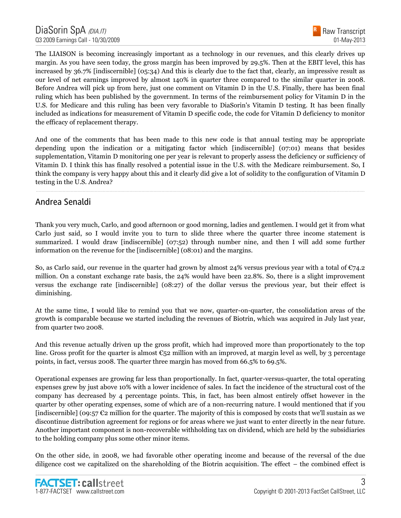

The LIAISON is becoming increasingly important as a technology in our revenues, and this clearly drives up margin. As you have seen today, the gross margin has been improved by 29.5%. Then at the EBIT level, this has increased by 36.7% [indiscernible] (05:34) And this is clearly due to the fact that, clearly, an impressive result as our level of net earnings improved by almost 140% in quarter three compared to the similar quarter in 2008. Before Andrea will pick up from here, just one comment on Vitamin D in the U.S. Finally, there has been final ruling which has been published by the government. In terms of the reimbursement policy for Vitamin D in the U.S. for Medicare and this ruling has been very favorable to DiaSorin's Vitamin D testing. It has been finally included as indications for measurement of Vitamin D specific code, the code for Vitamin D deficiency to monitor the efficacy of replacement therapy.

And one of the comments that has been made to this new code is that annual testing may be appropriate depending upon the indication or a mitigating factor which [indiscernible] (07:01) means that besides supplementation, Vitamin D monitoring one per year is relevant to properly assess the deficiency or sufficiency of Vitamin D. I think this has finally resolved a potential issue in the U.S. with the Medicare reimbursement. So, I think the company is very happy about this and it clearly did give a lot of solidity to the configuration of Vitamin D testing in the U.S. Andrea?

......................................................................................................................................................................................................................................................

#### Andrea Senaldi

Thank you very much, Carlo, and good afternoon or good morning, ladies and gentlemen. I would get it from what Carlo just said, so I would invite you to turn to slide three where the quarter three income statement is summarized. I would draw [indiscernible] (07:52) through number nine, and then I will add some further information on the revenue for the [indiscernible] (08:01) and the margins.

So, as Carlo said, our revenue in the quarter had grown by almost 24% versus previous year with a total of  $\mathfrak{C}_{74.2}$ million. On a constant exchange rate basis, the 24% would have been 22.8%. So, there is a slight improvement versus the exchange rate [indiscernible] (08:27) of the dollar versus the previous year, but their effect is diminishing.

At the same time, I would like to remind you that we now, quarter-on-quarter, the consolidation areas of the growth is comparable because we started including the revenues of Biotrin, which was acquired in July last year, from quarter two 2008.

And this revenue actually driven up the gross profit, which had improved more than proportionately to the top line. Gross profit for the quarter is almost  $\epsilon_{52}$  million with an improved, at margin level as well, by 3 percentage points, in fact, versus 2008. The quarter three margin has moved from 66.5% to 69.5%.

Operational expenses are growing far less than proportionally. In fact, quarter-versus-quarter, the total operating expenses grew by just above 10% with a lower incidence of sales. In fact the incidence of the structural cost of the company has decreased by 4 percentage points. This, in fact, has been almost entirely offset however in the quarter by other operating expenses, some of which are of a non-recurring nature. I would mentioned that if you [indiscernible] (09:57  $\epsilon$ 2 million for the quarter. The majority of this is composed by costs that we'll sustain as we discontinue distribution agreement for regions or for areas where we just want to enter directly in the near future. Another important component is non-recoverable withholding tax on dividend, which are held by the subsidiaries to the holding company plus some other minor items.

On the other side, in 2008, we had favorable other operating income and because of the reversal of the due diligence cost we capitalized on the shareholding of the Biotrin acquisition. The effect – the combined effect is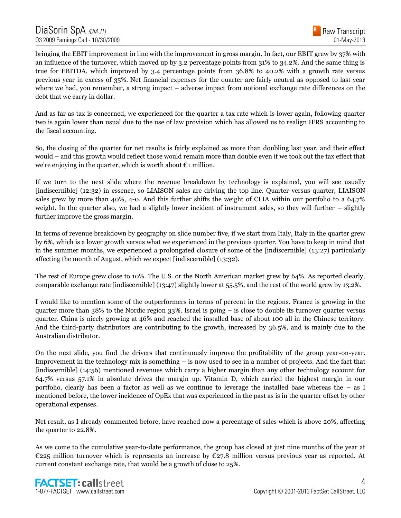

bringing the EBIT improvement in line with the improvement in gross margin. In fact, our EBIT grew by 37% with an influence of the turnover, which moved up by 3.2 percentage points from 31% to 34.2%. And the same thing is true for EBITDA, which improved by 3.4 percentage points from 36.8% to 40.2% with a growth rate versus previous year in excess of 35%. Net financial expenses for the quarter are fairly neutral as opposed to last year where we had, you remember, a strong impact – adverse impact from notional exchange rate differences on the debt that we carry in dollar.

And as far as tax is concerned, we experienced for the quarter a tax rate which is lower again, following quarter two is again lower than usual due to the use of law provision which has allowed us to realign IFRS accounting to the fiscal accounting.

So, the closing of the quarter for net results is fairly explained as more than doubling last year, and their effect would – and this growth would reflect those would remain more than double even if we took out the tax effect that we're enjoying in the quarter, which is worth about €1 million.

If we turn to the next slide where the revenue breakdown by technology is explained, you will see usually [indiscernible] (12:32) in essence, so LIAISON sales are driving the top line. Quarter-versus-quarter, LIAISON sales grew by more than 40%, 4-0. And this further shifts the weight of CLIA within our portfolio to a 64.7% weight. In the quarter also, we had a slightly lower incident of instrument sales, so they will further – slightly further improve the gross margin.

In terms of revenue breakdown by geography on slide number five, if we start from Italy, Italy in the quarter grew by 6%, which is a lower growth versus what we experienced in the previous quarter. You have to keep in mind that in the summer months, we experienced a prolongated closure of some of the [indiscernible] (13:27) particularly affecting the month of August, which we expect [indiscernible] (13:32).

The rest of Europe grew close to 10%. The U.S. or the North American market grew by 64%. As reported clearly, comparable exchange rate [indiscernible] (13:47) slightly lower at 55.5%, and the rest of the world grew by 13.2%.

I would like to mention some of the outperformers in terms of percent in the regions. France is growing in the quarter more than  $38\%$  to the Nordic region  $33\%$ . Israel is going – is close to double its turnover quarter versus quarter. China is nicely growing at 46% and reached the installed base of about 100 all in the Chinese territory. And the third-party distributors are contributing to the growth, increased by 36.5%, and is mainly due to the Australian distributor.

On the next slide, you find the drivers that continuously improve the profitability of the group year-on-year. Improvement in the technology mix is something – is now used to see in a number of projects. And the fact that [indiscernible] (14:56) mentioned revenues which carry a higher margin than any other technology account for 64.7% versus 57.1% in absolute drives the margin up. Vitamin D, which carried the highest margin in our portfolio, clearly has been a factor as well as we continue to leverage the installed base whereas the – as I mentioned before, the lower incidence of OpEx that was experienced in the past as is in the quarter offset by other operational expenses.

Net result, as I already commented before, have reached now a percentage of sales which is above 20%, affecting the quarter to 22.8%.

As we come to the cumulative year-to-date performance, the group has closed at just nine months of the year at €225 million turnover which is represents an increase by €27.8 million versus previous year as reported. At current constant exchange rate, that would be a growth of close to 25%.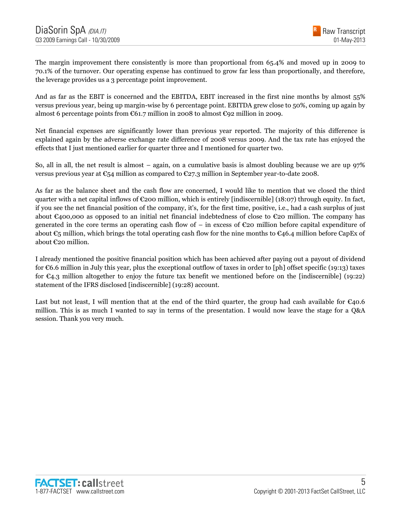The margin improvement there consistently is more than proportional from 65.4% and moved up in 2009 to 70.1% of the turnover. Our operating expense has continued to grow far less than proportionally, and therefore, the leverage provides us a 3 percentage point improvement.

And as far as the EBIT is concerned and the EBITDA, EBIT increased in the first nine months by almost 55% versus previous year, being up margin-wise by 6 percentage point. EBITDA grew close to 50%, coming up again by almost 6 percentage points from  $\mathfrak{C}61.7$  million in 2008 to almost  $\mathfrak{C}92$  million in 2009.

Net financial expenses are significantly lower than previous year reported. The majority of this difference is explained again by the adverse exchange rate difference of 2008 versus 2009. And the tax rate has enjoyed the effects that I just mentioned earlier for quarter three and I mentioned for quarter two.

So, all in all, the net result is almost – again, on a cumulative basis is almost doubling because we are up 97% versus previous year at  $\mathfrak{C}_54$  million as compared to  $\mathfrak{C}_27.3$  million in September year-to-date 2008.

As far as the balance sheet and the cash flow are concerned, I would like to mention that we closed the third quarter with a net capital inflows of  $\epsilon$ 200 million, which is entirely [indiscernible] (18:07) through equity. In fact, if you see the net financial position of the company, it's, for the first time, positive, i.e., had a cash surplus of just about €400,000 as opposed to an initial net financial indebtedness of close to €20 million. The company has generated in the core terms an operating cash flow of – in excess of  $\epsilon$ 20 million before capital expenditure of about €5 million, which brings the total operating cash flow for the nine months to €46.4 million before CapEx of about €20 million.

I already mentioned the positive financial position which has been achieved after paying out a payout of dividend for €6.6 million in July this year, plus the exceptional outflow of taxes in order to [ph] offset specific (19:13) taxes for €4.3 million altogether to enjoy the future tax benefit we mentioned before on the [indiscernible] (19:22) statement of the IFRS disclosed [indiscernible] (19:28) account.

Last but not least, I will mention that at the end of the third quarter, the group had cash available for  $\epsilon_{40.6}$ million. This is as much I wanted to say in terms of the presentation. I would now leave the stage for a Q&A session. Thank you very much.

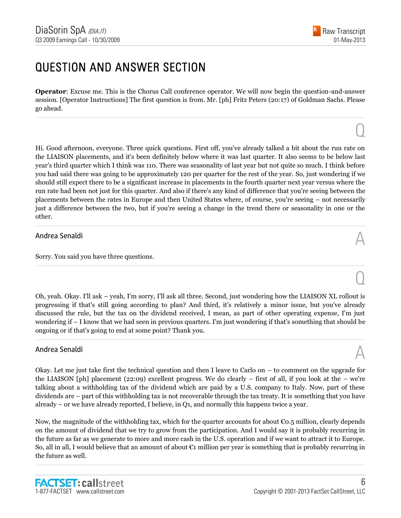#### QUESTION AND ANSWER SECTION

**Operator**: Excuse me. This is the Chorus Call conference operator. We will now begin the question-and-answer session. [Operator Instructions] The first question is from. Mr. [ph] Fritz Peters (20:17) of Goldman Sachs. Please go ahead.

......................................................................................................................................................................................................................................................

Hi. Good afternoon, everyone. Three quick questions. First off, you've already talked a bit about the run rate on the LIAISON placements, and it's been definitely below where it was last quarter. It also seems to be below last year's third quarter which I think was 110. There was seasonality of last year but not quite so much. I think before you had said there was going to be approximately 120 per quarter for the rest of the year. So, just wondering if we should still expect there to be a significant increase in placements in the fourth quarter next year versus where the run rate had been not just for this quarter. And also if there's any kind of difference that you're seeing between the placements between the rates in Europe and then United States where, of course, you're seeing – not necessarily just a difference between the two, but if you're seeing a change in the trend there or seasonality in one or the other.

......................................................................................................................................................................................................................................................

# Andrea Senaldi  $\mathbb A$

Sorry. You said you have three questions.

Oh, yeah. Okay. I'll ask – yeah, I'm sorry, I'll ask all three. Second, just wondering how the LIAISON XL rollout is progressing if that's still going according to plan? And third, it's relatively a minor issue, but you've already discussed the rule, but the tax on the dividend received, I mean, as part of other operating expense, I'm just wondering if – I know that we had seen in previous quarters. I'm just wondering if that's something that should be ongoing or if that's going to end at some point? Thank you.

......................................................................................................................................................................................................................................................

# Andrea Senaldi  $\mathbb A$

Okay. Let me just take first the technical question and then I leave to Carlo on – to comment on the upgrade for the LIAISON [ph] placement (22:09) excellent progress. We do clearly – first of all, if you look at the – we're talking about a withholding tax of the dividend which are paid by a U.S. company to Italy. Now, part of these dividends are – part of this withholding tax is not recoverable through the tax treaty. It is something that you have already – or we have already reported, I believe, in Q1, and normally this happens twice a year.

Now, the magnitude of the withholding tax, which for the quarter accounts for about  $\epsilon$ 0.5 million, clearly depends on the amount of dividend that we try to grow from the participation. And I would say it is probably recurring in the future as far as we generate to more and more cash in the U.S. operation and if we want to attract it to Europe. So, all in all, I would believe that an amount of about €1 million per year is something that is probably recurring in the future as well.

......................................................................................................................................................................................................................................................



 $\overline{O}$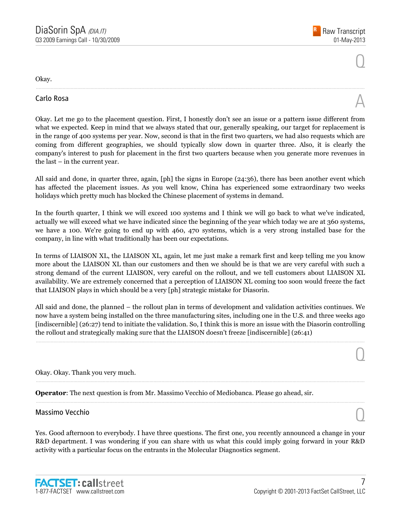$\overline{O}$ 

 $\overline{O}$ 

Okay.

# Carlo Rosa  $\mathbb A$

Okay. Let me go to the placement question. First, I honestly don't see an issue or a pattern issue different from what we expected. Keep in mind that we always stated that our, generally speaking, our target for replacement is in the range of 400 systems per year. Now, second is that in the first two quarters, we had also requests which are coming from different geographies, we should typically slow down in quarter three. Also, it is clearly the company's interest to push for placement in the first two quarters because when you generate more revenues in the last – in the current year.

......................................................................................................................................................................................................................................................

All said and done, in quarter three, again, [ph] the signs in Europe (24:36), there has been another event which has affected the placement issues. As you well know, China has experienced some extraordinary two weeks holidays which pretty much has blocked the Chinese placement of systems in demand.

In the fourth quarter, I think we will exceed 100 systems and I think we will go back to what we've indicated, actually we will exceed what we have indicated since the beginning of the year which today we are at 360 systems, we have a 100. We're going to end up with 460, 470 systems, which is a very strong installed base for the company, in line with what traditionally has been our expectations.

In terms of LIAISON XL, the LIAISON XL, again, let me just make a remark first and keep telling me you know more about the LIAISON XL than our customers and then we should be is that we are very careful with such a strong demand of the current LIAISON, very careful on the rollout, and we tell customers about LIAISON XL availability. We are extremely concerned that a perception of LIAISON XL coming too soon would freeze the fact that LIAISON plays in which should be a very [ph] strategic mistake for Diasorin.

All said and done, the planned – the rollout plan in terms of development and validation activities continues. We now have a system being installed on the three manufacturing sites, including one in the U.S. and three weeks ago [indiscernible] (26:27) tend to initiate the validation. So, I think this is more an issue with the Diasorin controlling the rollout and strategically making sure that the LIAISON doesn't freeze [indiscernible] (26:41)

......................................................................................................................................................................................................................................................

......................................................................................................................................................................................................................................................

......................................................................................................................................................................................................................................................

Okay. Okay. Thank you very much.

**Operator**: The next question is from Mr. Massimo Vecchio of Mediobanca. Please go ahead, sir.

# Massimo Vecchio Quanti all'estimato di un controllo di un controllo di un controllo di un controllo di un controllo di un controllo di un controllo di un controllo di un controllo di un controllo di un controllo di un cont

Yes. Good afternoon to everybody. I have three questions. The first one, you recently announced a change in your R&D department. I was wondering if you can share with us what this could imply going forward in your R&D activity with a particular focus on the entrants in the Molecular Diagnostics segment.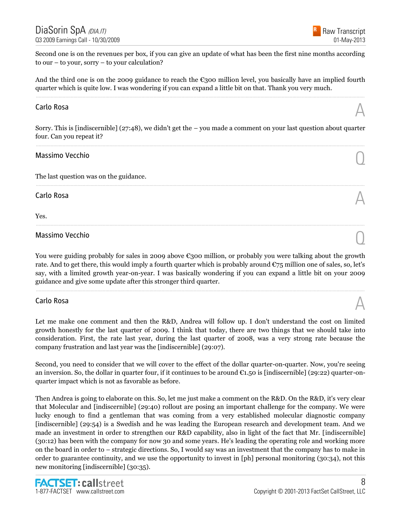Second one is on the revenues per box, if you can give an update of what has been the first nine months according to our – to your, sorry – to your calculation?

And the third one is on the 2009 guidance to reach the  $\epsilon$ 300 million level, you basically have an implied fourth quarter which is quite low. I was wondering if you can expand a little bit on that. Thank you very much. ......................................................................................................................................................................................................................................................

# Carlo Rosa  $\mathbb A$

Sorry. This is [indiscernible] (27:48), we didn't get the – you made a comment on your last question about quarter four. Can you repeat it? ......................................................................................................................................................................................................................................................

......................................................................................................................................................................................................................................................

......................................................................................................................................................................................................................................................

# Massimo Vecchio Quanti all'estimato di un controllo di un controllo di un controllo di un controllo di un controllo di un controllo di un controllo di un controllo di un controllo di un controllo di un controllo di un cont

The last question was on the guidance.

# Carlo Rosa  $\mathbb A$

Yes.

# Massimo Vecchio Quanti all'estimato di un controllo di un controllo di un controllo di un controllo di un controllo di un controllo di un controllo di un controllo di un controllo di un controllo di un controllo di un cont

You were guiding probably for sales in 2009 above  $\epsilon$ 300 million, or probably you were talking about the growth rate. And to get there, this would imply a fourth quarter which is probably around  $\mathfrak{C}75$  million one of sales, so, let's say, with a limited growth year-on-year. I was basically wondering if you can expand a little bit on your 2009 guidance and give some update after this stronger third quarter.

......................................................................................................................................................................................................................................................

Carlo Rosa  $\mathbb A$ 

Let me make one comment and then the R&D, Andrea will follow up. I don't understand the cost on limited growth honestly for the last quarter of 2009. I think that today, there are two things that we should take into consideration. First, the rate last year, during the last quarter of 2008, was a very strong rate because the company frustration and last year was the [indiscernible] (29:07).

Second, you need to consider that we will cover to the effect of the dollar quarter-on-quarter. Now, you're seeing an inversion. So, the dollar in quarter four, if it continues to be around  $\epsilon$ 1.50 is [indiscernible] (29:22) quarter-onquarter impact which is not as favorable as before.

Then Andrea is going to elaborate on this. So, let me just make a comment on the R&D. On the R&D, it's very clear that Molecular and [indiscernible] (29:40) rollout are posing an important challenge for the company. We were lucky enough to find a gentleman that was coming from a very established molecular diagnostic company [indiscernible] (29:54) is a Swedish and he was leading the European research and development team. And we made an investment in order to strengthen our R&D capability, also in light of the fact that Mr. [indiscernible] (30:12) has been with the company for now 30 and some years. He's leading the operating role and working more on the board in order to – strategic directions. So, I would say was an investment that the company has to make in order to guarantee continuity, and we use the opportunity to invest in [ph] personal monitoring (30:34), not this new monitoring [indiscernible] (30:35).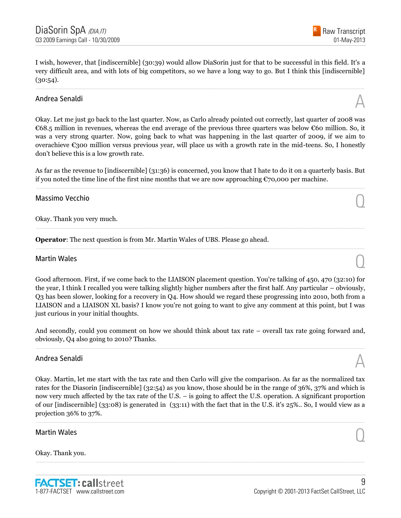I wish, however, that [indiscernible] (30:39) would allow DiaSorin just for that to be successful in this field. It's a very difficult area, and with lots of big competitors, so we have a long way to go. But I think this [indiscernible]  $(30:54)$ .

......................................................................................................................................................................................................................................................

# Andrea Senaldi  $\mathbb A$

Okay. Let me just go back to the last quarter. Now, as Carlo already pointed out correctly, last quarter of 2008 was €68.5 million in revenues, whereas the end average of the previous three quarters was below €60 million. So, it was a very strong quarter. Now, going back to what was happening in the last quarter of 2009, if we aim to overachieve  $\epsilon$ 300 million versus previous year, will place us with a growth rate in the mid-teens. So, I honestly don't believe this is a low growth rate.

As far as the revenue to [indiscernible] (31:36) is concerned, you know that I hate to do it on a quarterly basis. But if you noted the time line of the first nine months that we are now approaching  $\epsilon$ 70,000 per machine. ......................................................................................................................................................................................................................................................

......................................................................................................................................................................................................................................................

......................................................................................................................................................................................................................................................

# Massimo Vecchio Quanti all'estimato di un controllo di un controllo di un controllo di un controllo di un controllo di un controllo di un controllo di un controllo di un controllo di un controllo di un controllo di un cont

Okay. Thank you very much.

**Operator**: The next question is from Mr. Martin Wales of UBS. Please go ahead.

# Martin Wales  $\bigcirc$

Good afternoon. First, if we come back to the LIAISON placement question. You're talking of 450, 470 (32:10) for the year, I think I recalled you were talking slightly higher numbers after the first half. Any particular – obviously, Q3 has been slower, looking for a recovery in Q4. How should we regard these progressing into 2010, both from a LIAISON and a LIAISON XL basis? I know you're not going to want to give any comment at this point, but I was just curious in your initial thoughts.

And secondly, could you comment on how we should think about tax rate – overall tax rate going forward and, obviously, Q4 also going to 2010? Thanks. ......................................................................................................................................................................................................................................................

# Andrea Senaldi  $\mathbb A$

Okay. Martin, let me start with the tax rate and then Carlo will give the comparison. As far as the normalized tax rates for the Diasorin [indiscernible] (32:54) as you know, those should be in the range of 36%, 37% and which is now very much affected by the tax rate of the U.S. – is going to affect the U.S. operation. A significant proportion of our [indiscernible] (33:08) is generated in (33:11) with the fact that in the U.S. it's 25%.. So, I would view as a projection 36% to 37%.

......................................................................................................................................................................................................................................................

......................................................................................................................................................................................................................................................

# Martin Wales  $\bigcirc$

Okay. Thank you.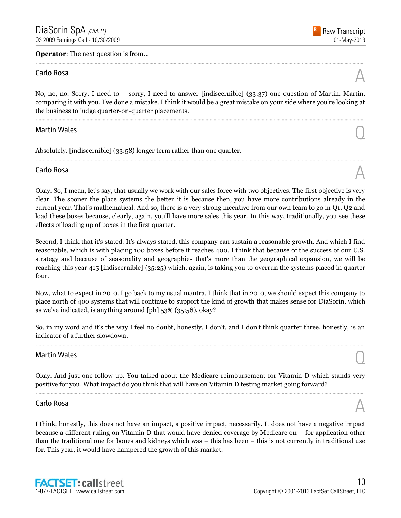**Operator:** The next question is from...

# Carlo Rosa  $\mathbb A$

No, no, no. Sorry, I need to – sorry, I need to answer [indiscernible] (33:37) one question of Martin. Martin, comparing it with you, I've done a mistake. I think it would be a great mistake on your side where you're looking at the business to judge quarter-on-quarter placements.

......................................................................................................................................................................................................................................................

......................................................................................................................................................................................................................................................

......................................................................................................................................................................................................................................................

# Martin Wales  $\bigcirc$

Absolutely. [indiscernible] (33:58) longer term rather than one quarter.

# Carlo Rosa  $\mathbb A$

Okay. So, I mean, let's say, that usually we work with our sales force with two objectives. The first objective is very clear. The sooner the place systems the better it is because then, you have more contributions already in the current year. That's mathematical. And so, there is a very strong incentive from our own team to go in Q1, Q2 and load these boxes because, clearly, again, you'll have more sales this year. In this way, traditionally, you see these effects of loading up of boxes in the first quarter.

Second, I think that it's stated. It's always stated, this company can sustain a reasonable growth. And which I find reasonable, which is with placing 100 boxes before it reaches 400. I think that because of the success of our U.S. strategy and because of seasonality and geographies that's more than the geographical expansion, we will be reaching this year 415 [indiscernible] (35:25) which, again, is taking you to overrun the systems placed in quarter four.

Now, what to expect in 2010. I go back to my usual mantra. I think that in 2010, we should expect this company to place north of 400 systems that will continue to support the kind of growth that makes sense for DiaSorin, which as we've indicated, is anything around [ph] 53% (35:58), okay?

So, in my word and it's the way I feel no doubt, honestly, I don't, and I don't think quarter three, honestly, is an indicator of a further slowdown. ......................................................................................................................................................................................................................................................

# Martin Wales  $\bigcirc$

Okay. And just one follow-up. You talked about the Medicare reimbursement for Vitamin D which stands very positive for you. What impact do you think that will have on Vitamin D testing market going forward? ......................................................................................................................................................................................................................................................

# Carlo Rosa  $\mathbb A$

I think, honestly, this does not have an impact, a positive impact, necessarily. It does not have a negative impact because a different ruling on Vitamin D that would have denied coverage by Medicare on – for application other than the traditional one for bones and kidneys which was – this has been – this is not currently in traditional use for. This year, it would have hampered the growth of this market.



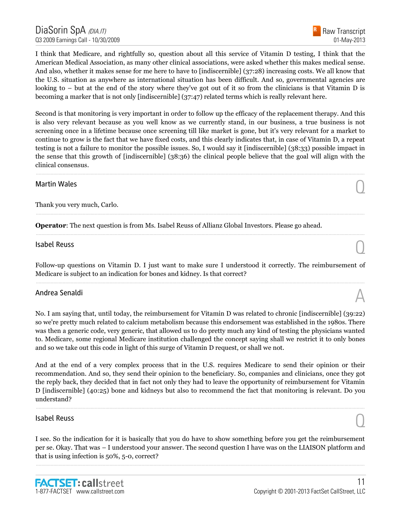I think that Medicare, and rightfully so, question about all this service of Vitamin D testing, I think that the American Medical Association, as many other clinical associations, were asked whether this makes medical sense. And also, whether it makes sense for me here to have to [indiscernible] (37:28) increasing costs. We all know that the U.S. situation as anywhere as international situation has been difficult. And so, governmental agencies are looking to – but at the end of the story where they've got out of it so from the clinicians is that Vitamin D is becoming a marker that is not only [indiscernible] (37:47) related terms which is really relevant here.

Second is that monitoring is very important in order to follow up the efficacy of the replacement therapy. And this is also very relevant because as you well know as we currently stand, in our business, a true business is not screening once in a lifetime because once screening till like market is gone, but it's very relevant for a market to continue to grow is the fact that we have fixed costs, and this clearly indicates that, in case of Vitamin D, a repeat testing is not a failure to monitor the possible issues. So, I would say it [indiscernible] (38:33) possible impact in the sense that this growth of [indiscernible] (38:36) the clinical people believe that the goal will align with the clinical consensus.

......................................................................................................................................................................................................................................................

......................................................................................................................................................................................................................................................

......................................................................................................................................................................................................................................................

# Martin Wales  $\bigcirc$

Thank you very much, Carlo.

**Operator**: The next question is from Ms. Isabel Reuss of Allianz Global Investors. Please go ahead.

# $\Box$ Isabel Reuss  $\Box$

Follow-up questions on Vitamin D. I just want to make sure I understood it correctly. The reimbursement of Medicare is subject to an indication for bones and kidney. Is that correct? ......................................................................................................................................................................................................................................................

# Andrea Senaldi  $\mathbb A$

No. I am saying that, until today, the reimbursement for Vitamin D was related to chronic [indiscernible] (39:22) so we're pretty much related to calcium metabolism because this endorsement was established in the 1980s. There was then a generic code, very generic, that allowed us to do pretty much any kind of testing the physicians wanted to. Medicare, some regional Medicare institution challenged the concept saying shall we restrict it to only bones and so we take out this code in light of this surge of Vitamin D request, or shall we not.

And at the end of a very complex process that in the U.S. requires Medicare to send their opinion or their recommendation. And so, they send their opinion to the beneficiary. So, companies and clinicians, once they got the reply back, they decided that in fact not only they had to leave the opportunity of reimbursement for Vitamin D [indiscernible] (40:25) bone and kidneys but also to recommend the fact that monitoring is relevant. Do you understand?

......................................................................................................................................................................................................................................................

# $\bigcap$  Isabel Reuss  $\bigcap$

I see. So the indication for it is basically that you do have to show something before you get the reimbursement per se. Okay. That was – I understood your answer. The second question I have was on the LIAISON platform and that is using infection is 50%, 5-0, correct?

......................................................................................................................................................................................................................................................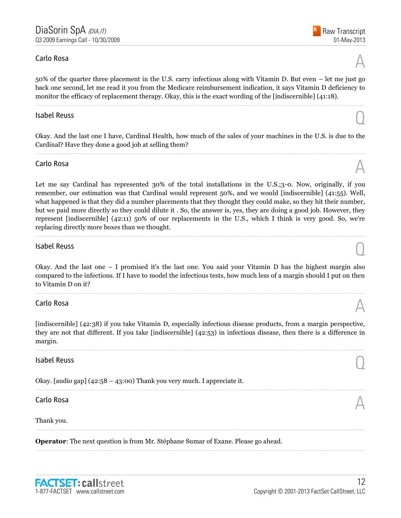# Carlo Rosa  $\mathbb A$

50% of the quarter three placement in the U.S. carry infectious along with Vitamin D. But even – let me just go back one second, let me read it you from the Medicare reimbursement indication, it says Vitamin D deficiency to monitor the efficacy of replacement therapy. Okay, this is the exact wording of the [indiscernible] (41:18).

# $\Box$ Isabel Reuss  $\Box$

Okay. And the last one I have, Cardinal Health, how much of the sales of your machines in the U.S. is due to the Cardinal? Have they done a good job at selling them? ......................................................................................................................................................................................................................................................

# Carlo Rosa  $\mathbb A$

Let me say Cardinal has represented 30% of the total installations in the U.S.;3-0. Now, originally, if you remember, our estimation was that Cardinal would represent 50%, and we would [indiscernible] (41:55). Well, what happened is that they did a number placements that they thought they could make, so they hit their number, but we paid more directly so they could dilute it . So, the answer is, yes, they are doing a good job. However, they represent [indiscernible] (42:11) 50% of our replacements in the U.S., which I think is very good. So, we're replacing directly more boxes than we thought.

......................................................................................................................................................................................................................................................

# $\Box$ Isabel Reuss  $\Box$

Okay. And the last one – I promised it's the last one. You said your Vitamin D has the highest margin also compared to the infections. If I have to model the infectious tests, how much less of a margin should I put on then to Vitamin D on it?

......................................................................................................................................................................................................................................................

# Carlo Rosa  $\mathbb A$

[indiscernible] (42:38) if you take Vitamin D, especially infectious disease products, from a margin perspective, they are not that different. If you take [indiscernible] (42:53) in infectious disease, then there is a difference in margin.

......................................................................................................................................................................................................................................................

......................................................................................................................................................................................................................................................

......................................................................................................................................................................................................................................................

......................................................................................................................................................................................................................................................

# $\Box$ Isabel Reuss  $\Box$

Okay. [audio gap] (42:58 – 43:00) Thank you very much. I appreciate it.

# Carlo Rosa  $\mathbb A$

#### Thank you.

**Operator**: The next question is from Mr. Stéphane Sumar of Exane. Please go ahead.







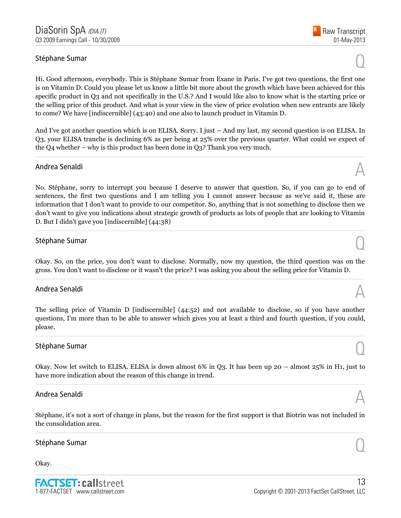# Stéphane Sumar  $\bigcirc$

Hi. Good afternoon, everybody. This is Stéphane Sumar from Exane in Paris. I've got two questions, the first one is on Vitamin D. Could you please let us know a little bit more about the growth which have been achieved for this specific product in Q3 and not specifically in the U.S.? And I would like also to know what is the starting price or the selling price of this product. And what is your view in the view of price evolution when new entrants are likely to come? We have [indiscernible] (43:40) and one also to launch product in Vitamin D.

And I've got another question which is on ELISA. Sorry. I just – And my last, my second question is on ELISA. In Q3, your ELISA tranche is declining 6% as per being at 25% over the previous quarter. What could we expect of the Q4 whether – why is this product has been done in Q3? Thank you very much.

......................................................................................................................................................................................................................................................

# Andrea Senaldi  $\mathbb A$

No. Stéphane, sorry to interrupt you because I deserve to answer that question. So, if you can go to end of sentences, the first two questions and I am telling you I cannot answer because as we've said it, these are information that I don't want to provide to our competitor. So, anything that is not something to disclose then we don't want to give you indications about strategic growth of products as lots of people that are looking to Vitamin D. But I didn't gave you [indiscernible] (44:38)

......................................................................................................................................................................................................................................................

# Stéphane Sumar  $\bigodot$

Okay. So, on the price, you don't want to disclose. Normally, now my question, the third question was on the gross. You don't want to disclose or it wasn't the price? I was asking you about the selling price for Vitamin D. ......................................................................................................................................................................................................................................................

# Andrea Senaldi  $\mathbb A$

The selling price of Vitamin D [indiscernible] (44:52) and not available to disclose, so if you have another questions, I'm more than to be able to answer which gives you at least a third and fourth question, if you could, please.

......................................................................................................................................................................................................................................................

# Stéphane Sumar  $\bigcirc$

Okay. Now let switch to ELISA. ELISA is down almost 6% in Q3. It has been up 20 – almost 25% in H1, just to have more indication about the reason of this change in trend.

# Andrea Senaldi  $\mathbb A$

Stéphane, it's not a sort of change in plans, but the reason for the first support is that Biotrin was not included in the consolidation area. ......................................................................................................................................................................................................................................................

# Stéphane Sumar  $\bigodot$

Okay.





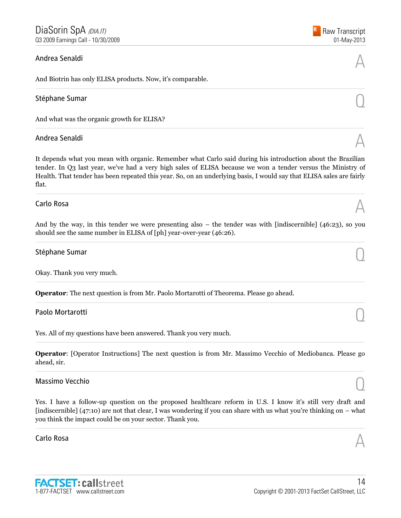# Andrea Senaldi  $\mathbb A$

And Biotrin has only ELISA products. Now, it's comparable.

# Stéphane Sumar  $\bigcirc$

And what was the organic growth for ELISA?

# Andrea Senaldi  $\mathbb A$

It depends what you mean with organic. Remember what Carlo said during his introduction about the Brazilian tender. In Q3 last year, we've had a very high sales of ELISA because we won a tender versus the Ministry of Health. That tender has been repeated this year. So, on an underlying basis, I would say that ELISA sales are fairly flat.

......................................................................................................................................................................................................................................................

......................................................................................................................................................................................................................................................

......................................................................................................................................................................................................................................................

# Carlo Rosa  $\mathbb A$

And by the way, in this tender we were presenting also – the tender was with [indiscernible] (46:23), so you should see the same number in ELISA of [ph] year-over-year (46:26). ......................................................................................................................................................................................................................................................

......................................................................................................................................................................................................................................................

......................................................................................................................................................................................................................................................

# Stéphane Sumar  $\bigcirc$

Okay. Thank you very much.

**Operator**: The next question is from Mr. Paolo Mortarotti of Theorema. Please go ahead.

# Paolo Mortarotti  $\bigcirc$

Yes. All of my questions have been answered. Thank you very much.

**Operator**: [Operator Instructions] The next question is from Mr. Massimo Vecchio of Mediobanca. Please go ahead, sir. ......................................................................................................................................................................................................................................................

......................................................................................................................................................................................................................................................

# Massimo Vecchio Quanti all'estimato di un controllo di un controllo di un controllo di un controllo di un controllo di un controllo di un controllo di un controllo di un controllo di un controllo di un controllo di un cont

Yes. I have a follow-up question on the proposed healthcare reform in U.S. I know it's still very draft and [indiscernible] (47:10) are not that clear, I was wondering if you can share with us what you're thinking on – what you think the impact could be on your sector. Thank you.

......................................................................................................................................................................................................................................................

# Carlo Rosa  $\mathbb A$







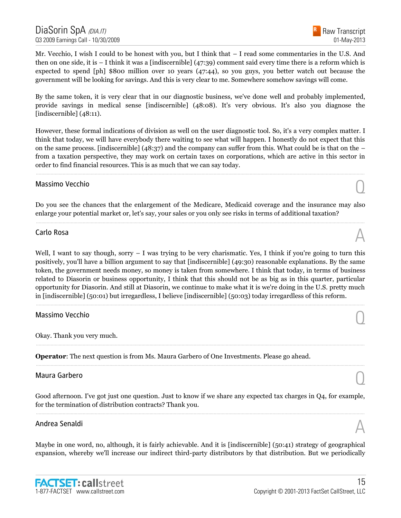Mr. Vecchio, I wish I could to be honest with you, but I think that – I read some commentaries in the U.S. And then on one side, it is – I think it was a [indiscernible] (47:39) comment said every time there is a reform which is expected to spend [ph] \$800 million over 10 years (47:44), so you guys, you better watch out because the government will be looking for savings. And this is very clear to me. Somewhere somehow savings will come.

By the same token, it is very clear that in our diagnostic business, we've done well and probably implemented, provide savings in medical sense [indiscernible] (48:08). It's very obvious. It's also you diagnose the [indiscernible] (48:11).

However, these formal indications of division as well on the user diagnostic tool. So, it's a very complex matter. I think that today, we will have everybody there waiting to see what will happen. I honestly do not expect that this on the same process. [indiscernible]  $(48:37)$  and the company can suffer from this. What could be is that on the – from a taxation perspective, they may work on certain taxes on corporations, which are active in this sector in order to find financial resources. This is as much that we can say today.

......................................................................................................................................................................................................................................................

# Massimo Vecchio Quanti all'estimato di un controllo di un controllo di un controllo di un controllo di un controllo di un controllo di un controllo di un controllo di un controllo di un controllo di un controllo di un cont

Do you see the chances that the enlargement of the Medicare, Medicaid coverage and the insurance may also enlarge your potential market or, let's say, your sales or you only see risks in terms of additional taxation? ......................................................................................................................................................................................................................................................

# Carlo Rosa  $\mathbb A$

Well, I want to say though, sorry  $-$  I was trying to be very charismatic. Yes, I think if you're going to turn this positively, you'll have a billion argument to say that [indiscernible] (49:30) reasonable explanations. By the same token, the government needs money, so money is taken from somewhere. I think that today, in terms of business related to Diasorin or business opportunity, I think that this should not be as big as in this quarter, particular opportunity for Diasorin. And still at Diasorin, we continue to make what it is we're doing in the U.S. pretty much in [indiscernible] (50:01) but irregardless, I believe [indiscernible] (50:03) today irregardless of this reform.

......................................................................................................................................................................................................................................................

......................................................................................................................................................................................................................................................

......................................................................................................................................................................................................................................................

# Massimo Vecchio Quanti all'estimato di un controllo di un controllo di un controllo di un controllo di un controllo di un controllo di un controllo di un controllo di un controllo di un controllo di un controllo di un cont

Okay. Thank you very much.

**Operator**: The next question is from Ms. Maura Garbero of One Investments. Please go ahead.

# Maura Garbero  $\bigcirc$

Good afternoon. I've got just one question. Just to know if we share any expected tax charges in Q4, for example, for the termination of distribution contracts? Thank you. ......................................................................................................................................................................................................................................................

# Andrea Senaldi  $\mathbb A$

Maybe in one word, no, although, it is fairly achievable. And it is [indiscernible] (50:41) strategy of geographical expansion, whereby we'll increase our indirect third-party distributors by that distribution. But we periodically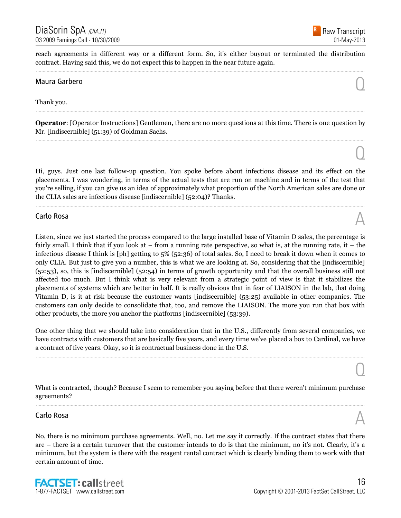

 $\overline{O}$ 

 $\overline{0}$ 

reach agreements in different way or a different form. So, it's either buyout or terminated the distribution contract. Having said this, we do not expect this to happen in the near future again. ......................................................................................................................................................................................................................................................

# Maura Garbero  $\bigcirc$

Thank you.

**Operator**: [Operator Instructions] Gentlemen, there are no more questions at this time. There is one question by Mr. [indiscernible] (51:39) of Goldman Sachs. ......................................................................................................................................................................................................................................................

......................................................................................................................................................................................................................................................

Hi, guys. Just one last follow-up question. You spoke before about infectious disease and its effect on the placements. I was wondering, in terms of the actual tests that are run on machine and in terms of the test that you're selling, if you can give us an idea of approximately what proportion of the North American sales are done or the CLIA sales are infectious disease [indiscernible] (52:04)? Thanks.

......................................................................................................................................................................................................................................................

# Carlo Rosa  $\mathbb A$

Listen, since we just started the process compared to the large installed base of Vitamin D sales, the percentage is fairly small. I think that if you look at – from a running rate perspective, so what is, at the running rate, it – the infectious disease I think is [ph] getting to 5% (52:36) of total sales. So, I need to break it down when it comes to only CLIA. But just to give you a number, this is what we are looking at. So, considering that the [indiscernible] (52:53), so, this is [indiscernible] (52:54) in terms of growth opportunity and that the overall business still not affected too much. But I think what is very relevant from a strategic point of view is that it stabilizes the placements of systems which are better in half. It is really obvious that in fear of LIAISON in the lab, that doing Vitamin D, is it at risk because the customer wants [indiscernible] (53:25) available in other companies. The customers can only decide to consolidate that, too, and remove the LIAISON. The more you run that box with other products, the more you anchor the platforms [indiscernible] (53:39).

One other thing that we should take into consideration that in the U.S., differently from several companies, we have contracts with customers that are basically five years, and every time we've placed a box to Cardinal, we have a contract of five years. Okay, so it is contractual business done in the U.S.

......................................................................................................................................................................................................................................................

What is contracted, though? Because I seem to remember you saying before that there weren't minimum purchase agreements? ......................................................................................................................................................................................................................................................

# Carlo Rosa  $\mathbb A$

No, there is no minimum purchase agreements. Well, no. Let me say it correctly. If the contract states that there are – there is a certain turnover that the customer intends to do is that the minimum, no it's not. Clearly, it's a minimum, but the system is there with the reagent rental contract which is clearly binding them to work with that certain amount of time.